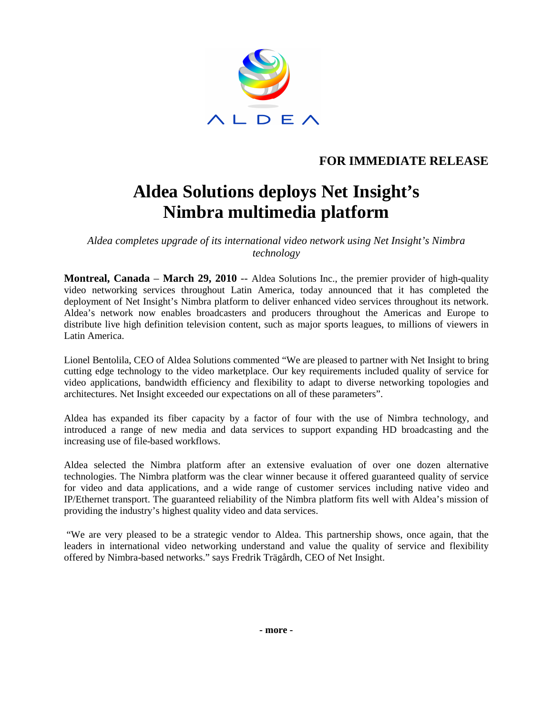

## **FOR IMMEDIATE RELEASE**

# **Aldea Solutions deploys Net Insight's Nimbra multimedia platform**

*Aldea completes upgrade of its international video network using Net Insight's Nimbra technology* 

**Montreal, Canada** – **March 29, 2010** -- Aldea Solutions Inc., the premier provider of high-quality video networking services throughout Latin America, today announced that it has completed the deployment of Net Insight's Nimbra platform to deliver enhanced video services throughout its network. Aldea's network now enables broadcasters and producers throughout the Americas and Europe to distribute live high definition television content, such as major sports leagues, to millions of viewers in Latin America.

Lionel Bentolila, CEO of Aldea Solutions commented "We are pleased to partner with Net Insight to bring cutting edge technology to the video marketplace. Our key requirements included quality of service for video applications, bandwidth efficiency and flexibility to adapt to diverse networking topologies and architectures. Net Insight exceeded our expectations on all of these parameters".

Aldea has expanded its fiber capacity by a factor of four with the use of Nimbra technology, and introduced a range of new media and data services to support expanding HD broadcasting and the increasing use of file-based workflows.

Aldea selected the Nimbra platform after an extensive evaluation of over one dozen alternative technologies. The Nimbra platform was the clear winner because it offered guaranteed quality of service for video and data applications, and a wide range of customer services including native video and IP/Ethernet transport. The guaranteed reliability of the Nimbra platform fits well with Aldea's mission of providing the industry's highest quality video and data services.

 "We are very pleased to be a strategic vendor to Aldea. This partnership shows, once again, that the leaders in international video networking understand and value the quality of service and flexibility offered by Nimbra-based networks." says Fredrik Trägårdh, CEO of Net Insight.

**- more -**